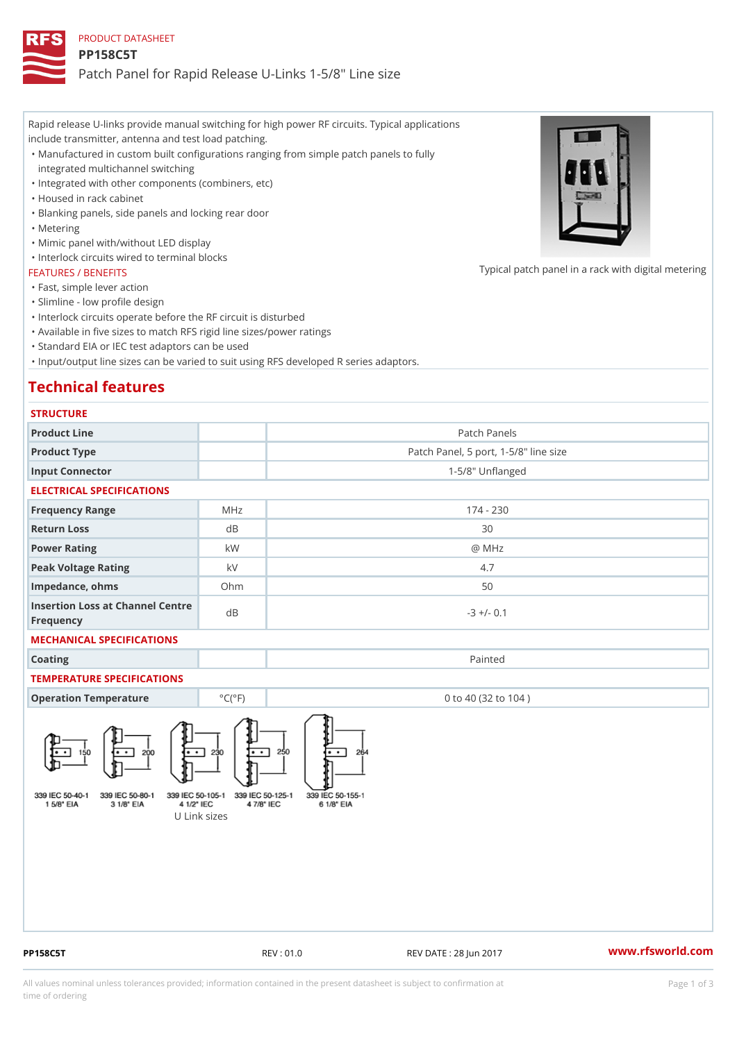Rapid release U-links provide manual switching for high power RF circuits. Typical applications include transmitter, antenna and test load patching.

Manufactured in custom built configurations ranging from simple patch panels to fully " integrated multichannel switching

"Integrated with other components (combiners, etc)

"Housed in rack cabinet

"Blanking panels, side panels and locking rear door

"Metering

"Mimic panel with/without LED display

"Interlock circuits wired to terminal blocks

#### FEATURES / BENEFITS

"Fast, simple lever action

"Slimline - low profile design

"Interlock circuits operate before the RF circuit is disturbed

"Available in five sizes to match RFS rigid line sizes/power ratings

"Standard EIA or IEC test adaptors can be used

"Input/output line sizes can be varied to suit using RFS developed R series adaptors.

# Technical features

| <b>STRUCTURE</b> |  |
|------------------|--|
|------------------|--|

| Product Line                                  |                 | Patch Panels                          |  |
|-----------------------------------------------|-----------------|---------------------------------------|--|
| Product Type                                  |                 | Patch Panel, 5 port, 1-5/8" line size |  |
| Input Connector                               |                 | $1 - 5/8$ " Unflanged                 |  |
| ELECTRICAL SPECIFICATIONS                     |                 |                                       |  |
| Frequency Range                               | MHz             | $174 - 230$                           |  |
| Return Loss                                   | d B             | 30                                    |  |
| Power Rating                                  | k W             | @ MHz                                 |  |
| Peak Voltage Rating                           | k V             | 4.7                                   |  |
| Impedance, ohms                               | $O$ h m         | 50                                    |  |
| Insertion Loss at Channel Centre<br>Frequency |                 | $-3$ +/- 0.1                          |  |
| MECHANICAL SPECIFICATIONS                     |                 |                                       |  |
| Coating                                       |                 | Painted                               |  |
| TEMPERATURE SPECIFICATIONS                    |                 |                                       |  |
| Operation Temperature                         | $°C(^{\circ}F)$ | 0 to 40 (32 to 104)                   |  |

U Link sizes

PP158C5T REV : 01.0 REV DATE : 28 Jun 2017 [www.](https://www.rfsworld.com)rfsworld.com

Typical patch panel in a rack with d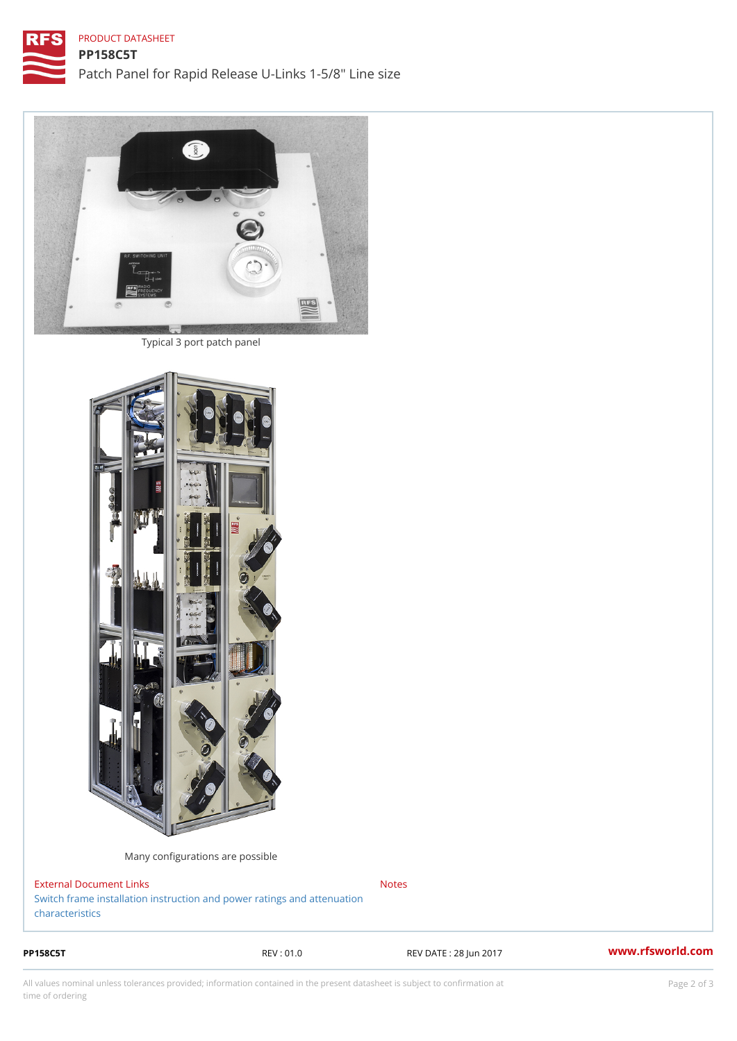### PRODUCT DATASHEET

Typical 3 port patch panel

Many configurations are possible

External Document Links [Switch frame installation instruction and power](https://www.rfsworld.com/images/broadcast_products/rigid line power ratings.pdf) ratings and attenuation [character](https://www.rfsworld.com/images/broadcast_products/rigid line power ratings.pdf)istics Notes

PP158C5T REV : 01.0 REV DATE : 28 Jun 2017 [www.](https://www.rfsworld.com)rfsworld.com

All values nominal unless tolerances provided; information contained in the present datasheet is subject to Pcapgelio an atio time of ordering